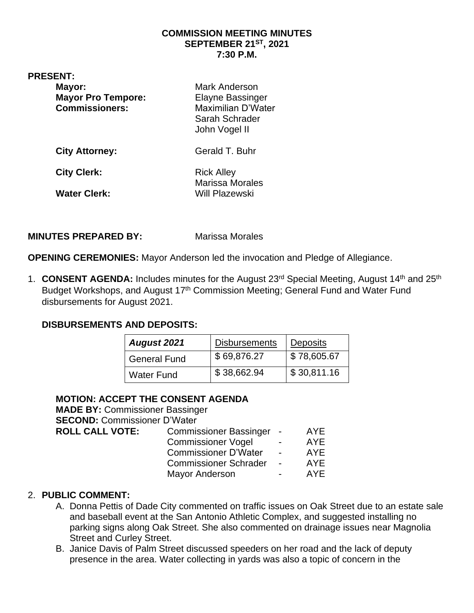## **COMMISSION MEETING MINUTES SEPTEMBER 21ST, 2021 7:30 P.M.**

| <b>PRESENT:</b>                                              | Mark Anderson                                                                    |
|--------------------------------------------------------------|----------------------------------------------------------------------------------|
| Mayor:<br><b>Mayor Pro Tempore:</b><br><b>Commissioners:</b> | <b>Elayne Bassinger</b><br>Maximilian D'Water<br>Sarah Schrader<br>John Vogel II |
| <b>City Attorney:</b>                                        | Gerald T. Buhr                                                                   |
| <b>City Clerk:</b>                                           | <b>Rick Alley</b><br><b>Marissa Morales</b>                                      |
| <b>Water Clerk:</b>                                          | Will Plazewski                                                                   |

## **MINUTES PREPARED BY:** Marissa Morales

**OPENING CEREMONIES:** Mayor Anderson led the invocation and Pledge of Allegiance.

1. CONSENT AGENDA: Includes minutes for the August 23<sup>rd</sup> Special Meeting, August 14<sup>th</sup> and 25<sup>th</sup> Budget Workshops, and August 17<sup>th</sup> Commission Meeting; General Fund and Water Fund disbursements for August 2021.

# **DISBURSEMENTS AND DEPOSITS:**

| August 2021         | <b>Disbursements</b> | <b>Deposits</b> |
|---------------------|----------------------|-----------------|
| <b>General Fund</b> | \$69,876.27          | \$78,605.67     |
| <b>Water Fund</b>   | \$38,662.94          | \$30,811.16     |

# **MOTION: ACCEPT THE CONSENT AGENDA**

| <b>MADE BY: Commissioner Bassinger</b> |                          |            |
|----------------------------------------|--------------------------|------------|
| <b>SECOND: Commissioner D'Water</b>    |                          |            |
| <b>Commissioner Bassinger</b>          | $\blacksquare$           | <b>AYE</b> |
| <b>Commissioner Vogel</b>              | $\blacksquare$           | <b>AYE</b> |
| <b>Commissioner D'Water</b>            | $\overline{\phantom{a}}$ | <b>AYE</b> |
| <b>Commissioner Schrader</b>           | $\overline{\phantom{a}}$ | <b>AYE</b> |
| <b>Mayor Anderson</b>                  | -                        | AYE        |
|                                        |                          |            |

## 2. **PUBLIC COMMENT:**

- A. Donna Pettis of Dade City commented on traffic issues on Oak Street due to an estate sale and baseball event at the San Antonio Athletic Complex, and suggested installing no parking signs along Oak Street. She also commented on drainage issues near Magnolia Street and Curley Street.
- B. Janice Davis of Palm Street discussed speeders on her road and the lack of deputy presence in the area. Water collecting in yards was also a topic of concern in the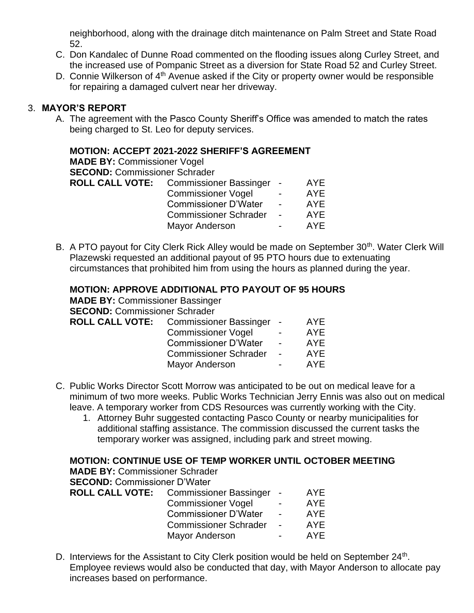neighborhood, along with the drainage ditch maintenance on Palm Street and State Road 52.

- C. Don Kandalec of Dunne Road commented on the flooding issues along Curley Street, and the increased use of Pompanic Street as a diversion for State Road 52 and Curley Street.
- D. Connie Wilkerson of 4<sup>th</sup> Avenue asked if the City or property owner would be responsible for repairing a damaged culvert near her driveway.

## 3. **MAYOR'S REPORT**

A. The agreement with the Pasco County Sheriff's Office was amended to match the rates being charged to St. Leo for deputy services.

## **MOTION: ACCEPT 2021-2022 SHERIFF'S AGREEMENT**

**MADE BY:** Commissioner Vogel

**SECOND:** Commissioner Schrader

| <b>ROLL CALL VOTE:</b> | Commissioner Bassinger -     |                          | AYE        |
|------------------------|------------------------------|--------------------------|------------|
|                        | <b>Commissioner Vogel</b>    | $\blacksquare$           | <b>AYE</b> |
|                        | <b>Commissioner D'Water</b>  | $\overline{\phantom{0}}$ | <b>AYE</b> |
|                        | <b>Commissioner Schrader</b> | $\overline{\phantom{0}}$ | AYE        |
|                        | <b>Mayor Anderson</b>        | $\blacksquare$           | AYE        |
|                        |                              |                          |            |

B. A PTO payout for City Clerk Rick Alley would be made on September 30<sup>th</sup>. Water Clerk Will Plazewski requested an additional payout of 95 PTO hours due to extenuating circumstances that prohibited him from using the hours as planned during the year.

## **MOTION: APPROVE ADDITIONAL PTO PAYOUT OF 95 HOURS**

**MADE BY:** Commissioner Bassinger **SECOND:** Commissioner Schrader

| <b>ROLL CALL VOTE:</b> Commissioner Bassinger - |                          | AYE |
|-------------------------------------------------|--------------------------|-----|
| <b>Commissioner Vogel</b>                       | $\overline{\phantom{0}}$ | AYE |
| <b>Commissioner D'Water</b>                     | $\blacksquare$           | AYE |
| <b>Commissioner Schrader</b>                    | $\overline{a}$           | AYE |
| Mayor Anderson                                  | $\overline{\phantom{0}}$ | AYE |
|                                                 |                          |     |

- C. Public Works Director Scott Morrow was anticipated to be out on medical leave for a minimum of two more weeks. Public Works Technician Jerry Ennis was also out on medical leave. A temporary worker from CDS Resources was currently working with the City.
	- 1. Attorney Buhr suggested contacting Pasco County or nearby municipalities for additional staffing assistance. The commission discussed the current tasks the temporary worker was assigned, including park and street mowing.

## **MOTION: CONTINUE USE OF TEMP WORKER UNTIL OCTOBER MEETING**

**MADE BY:** Commissioner Schrader

**SECOND:** Commissioner D'Water

| <b>ROLL CALL VOTE:</b> | Commissioner Bassinger -     |                          | AYE        |
|------------------------|------------------------------|--------------------------|------------|
|                        | <b>Commissioner Vogel</b>    | $\overline{\phantom{0}}$ | <b>AYE</b> |
|                        | <b>Commissioner D'Water</b>  | $\overline{\phantom{0}}$ | AYE        |
|                        | <b>Commissioner Schrader</b> | $\blacksquare$           | AYE        |
|                        | Mayor Anderson               | $\blacksquare$           | AYE        |
|                        |                              |                          |            |

D. Interviews for the Assistant to City Clerk position would be held on September  $24<sup>th</sup>$ . Employee reviews would also be conducted that day, with Mayor Anderson to allocate pay increases based on performance.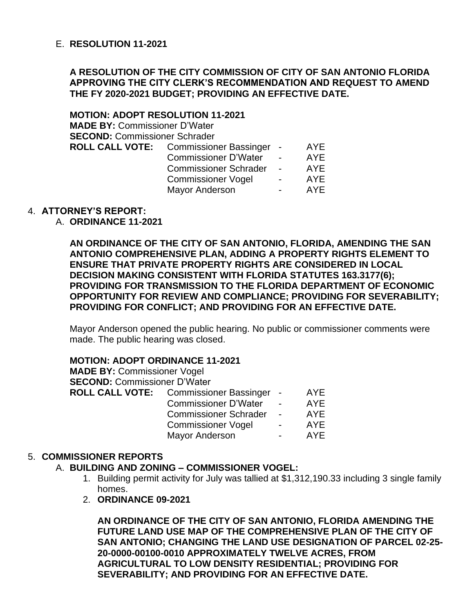## E. **RESOLUTION 11-2021**

## **A RESOLUTION OF THE CITY COMMISSION OF CITY OF SAN ANTONIO FLORIDA APPROVING THE CITY CLERK'S RECOMMENDATION AND REQUEST TO AMEND THE FY 2020-2021 BUDGET; PROVIDING AN EFFECTIVE DATE.**

**MOTION: ADOPT RESOLUTION 11-2021 MADE BY:** Commissioner D'Water **SECOND:** Commissioner Schrader **ROLL CALL VOTE:** Commissioner Bassinger - AYE Commissioner D'Water - AYE Commissioner Schrader - AYE Commissioner Vogel - AYE<br>Mavor Anderson - AYE Mayor Anderson

## 4. **ATTORNEY'S REPORT:**

## A. **ORDINANCE 11-2021**

**AN ORDINANCE OF THE CITY OF SAN ANTONIO, FLORIDA, AMENDING THE SAN ANTONIO COMPREHENSIVE PLAN, ADDING A PROPERTY RIGHTS ELEMENT TO ENSURE THAT PRIVATE PROPERTY RIGHTS ARE CONSIDERED IN LOCAL DECISION MAKING CONSISTENT WITH FLORIDA STATUTES 163.3177(6); PROVIDING FOR TRANSMISSION TO THE FLORIDA DEPARTMENT OF ECONOMIC OPPORTUNITY FOR REVIEW AND COMPLIANCE; PROVIDING FOR SEVERABILITY; PROVIDING FOR CONFLICT; AND PROVIDING FOR AN EFFECTIVE DATE.**

Mayor Anderson opened the public hearing. No public or commissioner comments were made. The public hearing was closed.

### **MOTION: ADOPT ORDINANCE 11-2021**

**MADE BY:** Commissioner Vogel **SECOND:** Commissioner D'Water **ROLL CALL VOTE:** Commissioner Bassinger - AYE Commissioner D'Water - AYE Commissioner Schrader - AYE Commissioner Vogel - AYE Mayor Anderson **- AYE** 

### 5. **COMMISSIONER REPORTS**

### A. **BUILDING AND ZONING – COMMISSIONER VOGEL:**

- 1. Building permit activity for July was tallied at \$1,312,190.33 including 3 single family homes.
- 2. **ORDINANCE 09-2021**

**AN ORDINANCE OF THE CITY OF SAN ANTONIO, FLORIDA AMENDING THE FUTURE LAND USE MAP OF THE COMPREHENSIVE PLAN OF THE CITY OF SAN ANTONIO; CHANGING THE LAND USE DESIGNATION OF PARCEL 02-25- 20-0000-00100-0010 APPROXIMATELY TWELVE ACRES, FROM AGRICULTURAL TO LOW DENSITY RESIDENTIAL; PROVIDING FOR SEVERABILITY; AND PROVIDING FOR AN EFFECTIVE DATE.**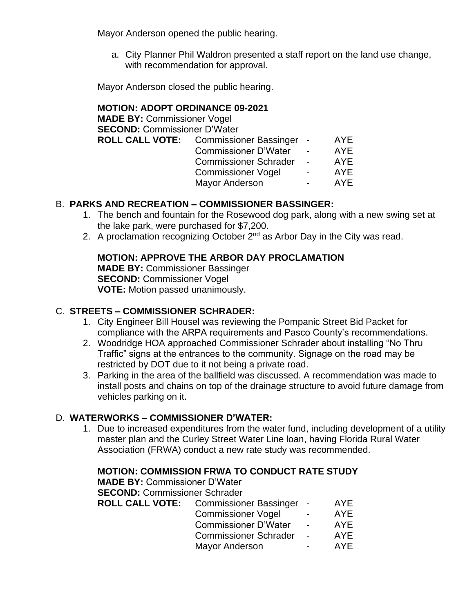Mayor Anderson opened the public hearing.

a. City Planner Phil Waldron presented a staff report on the land use change, with recommendation for approval.

Mayor Anderson closed the public hearing.

# **MOTION: ADOPT ORDINANCE 09-2021**

| <b>MADE BY: Commissioner Vogel</b>  |                                                 |        |            |
|-------------------------------------|-------------------------------------------------|--------|------------|
| <b>SECOND: Commissioner D'Water</b> |                                                 |        |            |
|                                     | <b>ROLL CALL VOTE:</b> Commissioner Bassinger - |        | <b>AYE</b> |
|                                     | <b>Commissioner D'Water</b>                     |        | <b>AYE</b> |
|                                     | <b>Commissioner Schrader</b>                    | $\sim$ | <b>AYE</b> |
|                                     | <b>Commissioner Vogel</b>                       |        | <b>AYE</b> |
|                                     | <b>Mayor Anderson</b>                           |        | AYE        |
|                                     |                                                 |        |            |

# B. **PARKS AND RECREATION – COMMISSIONER BASSINGER:**

- 1. The bench and fountain for the Rosewood dog park, along with a new swing set at the lake park, were purchased for \$7,200.
- 2. A proclamation recognizing October  $2<sup>nd</sup>$  as Arbor Day in the City was read.

# **MOTION: APPROVE THE ARBOR DAY PROCLAMATION**

**MADE BY:** Commissioner Bassinger **SECOND:** Commissioner Vogel **VOTE:** Motion passed unanimously.

# C. **STREETS – COMMISSIONER SCHRADER:**

- 1. City Engineer Bill Housel was reviewing the Pompanic Street Bid Packet for compliance with the ARPA requirements and Pasco County's recommendations.
- 2. Woodridge HOA approached Commissioner Schrader about installing "No Thru Traffic" signs at the entrances to the community. Signage on the road may be restricted by DOT due to it not being a private road.
- 3. Parking in the area of the ballfield was discussed. A recommendation was made to install posts and chains on top of the drainage structure to avoid future damage from vehicles parking on it.

# D. **WATERWORKS – COMMISSIONER D'WATER:**

1. Due to increased expenditures from the water fund, including development of a utility master plan and the Curley Street Water Line loan, having Florida Rural Water Association (FRWA) conduct a new rate study was recommended.

# **MOTION: COMMISSION FRWA TO CONDUCT RATE STUDY**

**MADE BY:** Commissioner D'Water

**SECOND:** Commissioner Schrader

| <b>ROLL CALL VOTE:</b> | <b>Commissioner Bassinger</b> |                          | AYE        |
|------------------------|-------------------------------|--------------------------|------------|
|                        | <b>Commissioner Vogel</b>     | $\overline{\phantom{0}}$ | <b>AYE</b> |
|                        | <b>Commissioner D'Water</b>   | $\overline{\phantom{0}}$ | AYE        |
|                        | <b>Commissioner Schrader</b>  |                          | AYE        |
|                        | <b>Mayor Anderson</b>         | $\blacksquare$           | AYE        |
|                        |                               |                          |            |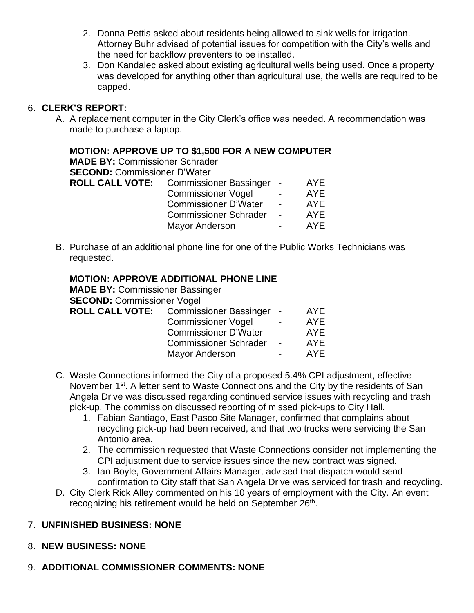- 2. Donna Pettis asked about residents being allowed to sink wells for irrigation. Attorney Buhr advised of potential issues for competition with the City's wells and the need for backflow preventers to be installed.
- 3. Don Kandalec asked about existing agricultural wells being used. Once a property was developed for anything other than agricultural use, the wells are required to be capped.

# 6. **CLERK'S REPORT:**

A. A replacement computer in the City Clerk's office was needed. A recommendation was made to purchase a laptop.

# **MOTION: APPROVE UP TO \$1,500 FOR A NEW COMPUTER**

**MADE BY:** Commissioner Schrader

**SECOND:** Commissioner D'Water

| <b>ROLL CALL VOTE:</b> | Commissioner Bassinger -     |        | AYE        |
|------------------------|------------------------------|--------|------------|
|                        | <b>Commissioner Vogel</b>    | $\sim$ | <b>AYE</b> |
|                        | <b>Commissioner D'Water</b>  | $\sim$ | <b>AYE</b> |
|                        | <b>Commissioner Schrader</b> | $\sim$ | AYE        |
|                        | Mayor Anderson               |        | AYE        |
|                        |                              |        |            |

B. Purchase of an additional phone line for one of the Public Works Technicians was requested.

# **MOTION: APPROVE ADDITIONAL PHONE LINE**

**MADE BY:** Commissioner Bassinger **SECOND:** Commissioner Vogel **ROLL CALL VOTE:** Commissioner Bassinger - AYE Commissioner Vogel - AYE Commissioner D'Water - AYE Commissioner Schrader - AYE Mayor Anderson **- AYE** 

- C. Waste Connections informed the City of a proposed 5.4% CPI adjustment, effective November 1<sup>st</sup>. A letter sent to Waste Connections and the City by the residents of San Angela Drive was discussed regarding continued service issues with recycling and trash pick-up. The commission discussed reporting of missed pick-ups to City Hall.
	- 1. Fabian Santiago, East Pasco Site Manager, confirmed that complains about recycling pick-up had been received, and that two trucks were servicing the San Antonio area.
	- 2. The commission requested that Waste Connections consider not implementing the CPI adjustment due to service issues since the new contract was signed.
	- 3. Ian Boyle, Government Affairs Manager, advised that dispatch would send confirmation to City staff that San Angela Drive was serviced for trash and recycling.
- D. City Clerk Rick Alley commented on his 10 years of employment with the City. An event recognizing his retirement would be held on September 26<sup>th</sup>.

# 7. **UNFINISHED BUSINESS: NONE**

- 8. **NEW BUSINESS: NONE**
- 9. **ADDITIONAL COMMISSIONER COMMENTS: NONE**